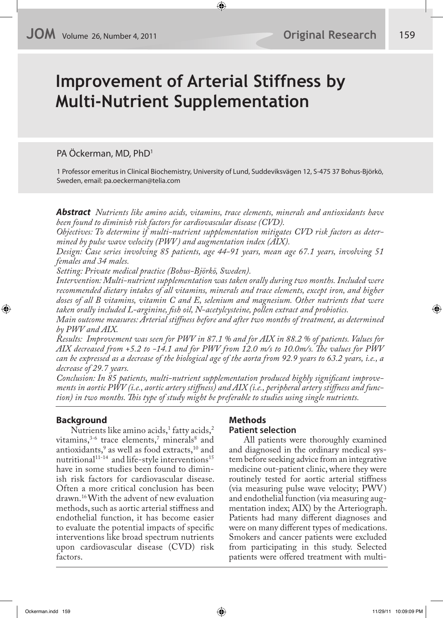# **Improvement of Arterial Stiffness by Multi-Nutrient Supplementation**

PA Öckerman, MD, PhD<sup>1</sup>

1 Professor emeritus in Clinical Biochemistry, University of Lund, Suddeviksvägen 12, S-475 37 Bohus-Björkö, Sweden, email: pa.oeckerman@telia.com

**Abstract** *Nutrients like amino acids, vitamins, trace elements, minerals and antioxidants have been found to diminish risk factors for cardiovascular disease (CVD).*

*Objectives: To determine if multi-nutrient supplementation mitigates CVD risk factors as determined by pulse wave velocity (PWV) and augmentation index (AIX).*

*Design: Case series involving 85 patients, age 44-91 years, mean age 67.1 years, involving 51 females and 34 males.*

*Setting: Private medical practice (Bohus-Björkö, Sweden).*

*Intervention: Multi-nutrient supplementation was taken orally during two months. Included were recommended dietary intakes of all vitamins, minerals and trace elements, except iron, and higher doses of all B vitamins, vitamin C and E, selenium and magnesium. Other nutrients that were taken orally included L-arginine, !sh oil, N-acetylcysteine, pollen extract and probiotics.*

*Main outcome measures: Arterial sti"ness before and after two months of treatment, as determined by PWV and AIX.*

*Results: Improvement was seen for PWV in 87.1 % and for AIX in 88.2 % of patients. Values for AIX decreased from +5.2 to -14.1 and for PWV from 12.0 m/s to 10.0m/s. #e values for PWV can be expressed as a decrease of the biological age of the aorta from 92.9 years to 63.2 years, i.e., a decrease of 29.7 years.*

Conclusion: In 85 patients, multi-nutrient supplementation produced highly significant improve*ments in aortic PWV (i.e., aortic artery sti"ness) and AIX (i.e., peripheral artery sti"ness and function) in two months. #is type of study might be preferable to studies using single nutrients.*

# **Background**

Nutrients like amino acids, $^1$  fatty acids, $^2$ vitamins,  $3-6$  trace elements, minerals and antioxidants,<sup>9</sup> as well as food extracts,<sup>10</sup> and nutritional<sup>11-14</sup> and life-style interventions<sup>15</sup> have in some studies been found to diminish risk factors for cardiovascular disease. Often a more critical conclusion has been drawn.16 With the advent of new evaluation methods, such as aortic arterial stiffness and endothelial function, it has become easier to evaluate the potential impacts of specific interventions like broad spectrum nutrients upon cardiovascular disease (CVD) risk factors.

# **Methods**

# **Patient selection**

All patients were thoroughly examined and diagnosed in the ordinary medical system before seeking advice from an integrative medicine out-patient clinic, where they were routinely tested for aortic arterial stiffness (via measuring pulse wave velocity; PWV) and endothelial function (via measuring augmentation index; AIX) by the Arteriograph. Patients had many different diagnoses and were on many different types of medications. Smokers and cancer patients were excluded from participating in this study. Selected patients were offered treatment with multi-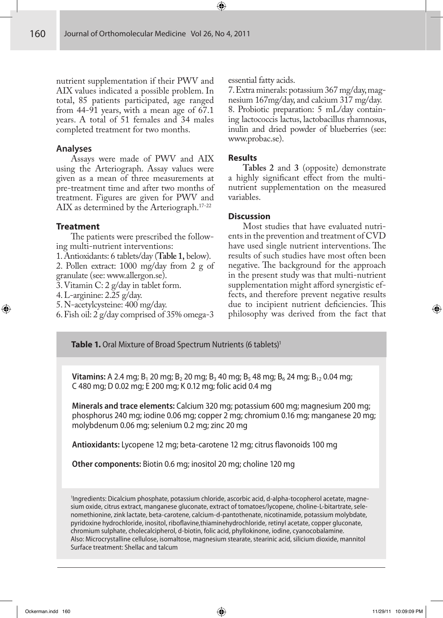nutrient supplementation if their PWV and AIX values indicated a possible problem. In total, 85 patients participated, age ranged from 44-91 years, with a mean age of 67.1 years. A total of 51 females and 34 males completed treatment for two months.

### **Analyses**

Assays were made of PWV and AIX using the Arteriograph. Assay values were given as a mean of three measurements at pre-treatment time and after two months of treatment. Figures are given for PWV and AIX as determined by the Arteriograph.<sup>17-22</sup>

# **Treatment**

The patients were prescribed the following multi-nutrient interventions:

1. Antioxidants: 6 tablets/day (**Table 1,** below).

2. Pollen extract: 1000 mg/day from 2 g of granulate (see: www.allergon.se).

3. Vitamin C: 2 g/day in tablet form.

4. L-arginine: 2.25 g/day.

5. N-acetylcysteine: 400 mg/day.

6. Fish oil: 2 g/day comprised of 35% omega-3

essential fatty acids.

7. Extra minerals: potassium 367 mg/day, magnesium 167mg/day, and calcium 317 mg/day. 8. Probiotic preparation: 5 mL/day containing lactococcis lactus, lactobacillus rhamnosus, inulin and dried powder of blueberries (see: www.probac.se).

#### **Results**

**Tables 2** and **3** (opposite) demonstrate a highly significant effect from the multinutrient supplementation on the measured variables.

# **Discussion**

Most studies that have evaluated nutrients in the prevention and treatment of CVD have used single nutrient interventions. The results of such studies have most often been negative. The background for the approach in the present study was that multi-nutrient supplementation might afford synergistic effects, and therefore prevent negative results due to incipient nutrient deficiencies. This philosophy was derived from the fact that

**Table 1.** Oral Mixture of Broad Spectrum Nutrients (6 tablets)<sup>1</sup>

**Vitamins:** A 2.4 mg; B<sub>1</sub> 20 mg; B<sub>2</sub> 20 mg; B<sub>3</sub> 40 mg; B<sub>5</sub> 48 mg; B<sub>6</sub> 24 mg; B<sub>12</sub> 0.04 mg; C 480 mg; D 0.02 mg; E 200 mg; K 0.12 mg; folic acid 0.4 mg

**Minerals and trace elements:** Calcium 320 mg; potassium 600 mg; magnesium 200 mg; phosphorus 240 mg; iodine 0.06 mg; copper 2 mg; chromium 0.16 mg; manganese 20 mg; molybdenum 0.06 mg; selenium 0.2 mg; zinc 20 mg

**Antioxidants:** Lycopene 12 mg; beta-carotene 12 mg; citrus flavonoids 100 mg

**Other components:** Biotin 0.6 mg; inositol 20 mg; choline 120 mg

1 Ingredients: Dicalcium phosphate, potassium chloride, ascorbic acid, d-alpha-tocopherol acetate, magnesium oxide, citrus extract, manganese gluconate, extract of tomatoes/lycopene, choline-L-bitartrate, selenomethionine, zink lactate, beta-carotene, calcium-d-pantothenate, nicotinamide, potassium molybdate, pyridoxine hydrochloride, inositol, riboflavine,thiaminehydrochloride, retinyl acetate, copper gluconate, chromium sulphate, cholecalcipherol, d-biotin, folic acid, phyllokinone, iodine, cyanocobalamine. Also: Microcrystalline cellulose, isomaltose, magnesium stearate, stearinic acid, silicium dioxide, mannitol Surface treatment: Shellac and talcum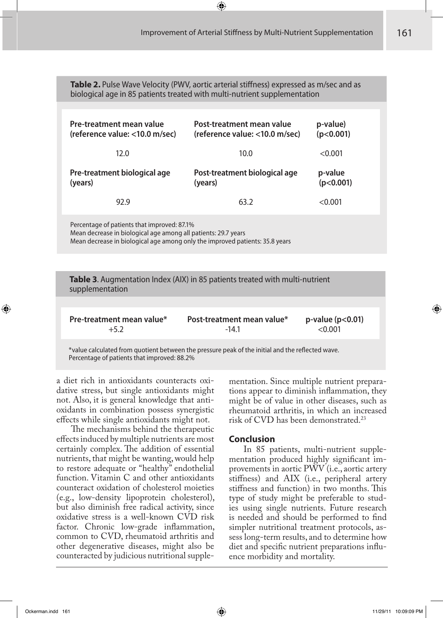**Table 2.** Pulse Wave Velocity (PWV, aortic arterial stiffness) expressed as m/sec and as biological age in 85 patients treated with multi-nutrient supplementation

| Pre-treatment mean value<br>(reference value: <10.0 m/sec) | Post-treatment mean value<br>(reference value: <10.0 m/sec) | p-value)<br>(p<0.001) |  |
|------------------------------------------------------------|-------------------------------------------------------------|-----------------------|--|
| 12.0                                                       | 10.0                                                        | < 0.001               |  |
| Pre-treatment biological age<br>(years)                    | Post-treatment biological age<br>(years)                    | p-value<br>(p<0.001)  |  |
| 92.9                                                       | 63.2                                                        | < 0.001               |  |
| Percentage of patients that improved: 87.1%                |                                                             |                       |  |

Mean decrease in biological age among all patients: 29.7 years Mean decrease in biological age among only the improved patients: 35.8 years

**Table 3**. Augmentation Index (AIX) in 85 patients treated with multi-nutrient supplementation

| <b>Pre-treatment mean value*</b> | Post-treatment mean value* | $p$ -value ( $p$ <0.01) |
|----------------------------------|----------------------------|-------------------------|
| $+5.2$                           | $-14.1$                    | $<$ 0.001 $\,$          |

\*value calculated from quotient between the pressure peak of the initial and the reflected wave. Percentage of patients that improved: 88.2%

a diet rich in antioxidants counteracts oxidative stress, but single antioxidants might not. Also, it is general knowledge that antioxidants in combination possess synergistic effects while single antioxidants might not.

The mechanisms behind the therapeutic effects induced by multiple nutrients are most certainly complex. The addition of essential nutrients, that might be wanting, would help to restore adequate or "healthy" endothelial function. Vitamin C and other antioxidants counteract oxidation of cholesterol moieties (e.g., low-density lipoprotein cholesterol), but also diminish free radical activity, since oxidative stress is a well-known CVD risk factor. Chronic low-grade inflammation, common to CVD, rheumatoid arthritis and other degenerative diseases, might also be counteracted by judicious nutritional supplementation. Since multiple nutrient preparations appear to diminish inflammation, they might be of value in other diseases, such as rheumatoid arthritis, in which an increased risk of CVD has been demonstrated.23

# **Conclusion**

In 85 patients, multi-nutrient supplementation produced highly significant improvements in aortic PWV (i.e., aortic artery stiffness) and AIX (i.e., peripheral artery stiffness and function) in two months. This type of study might be preferable to studies using single nutrients. Future research is needed and should be performed to find simpler nutritional treatment protocols, assess long-term results, and to determine how diet and specific nutrient preparations influence morbidity and mortality.